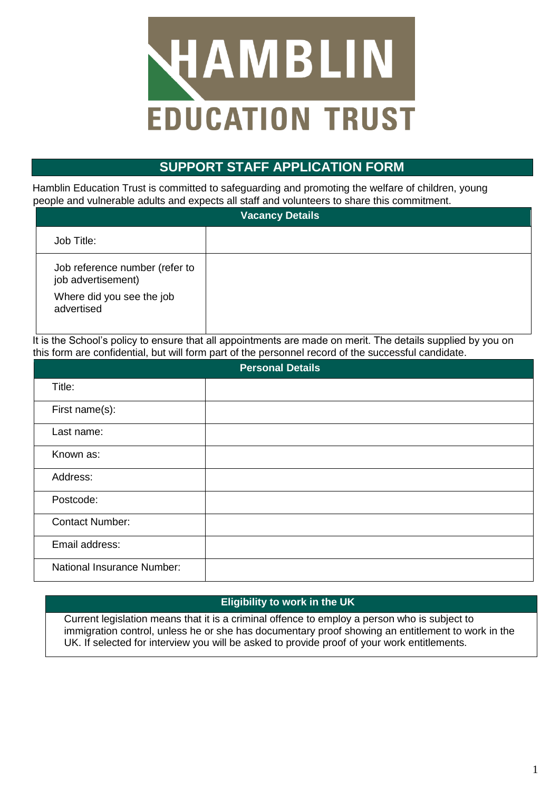

# **SUPPORT STAFF APPLICATION FORM**

Hamblin Education Trust is committed to safeguarding and promoting the welfare of children, young people and vulnerable adults and expects all staff and volunteers to share this commitment.

| <b>Vacancy Details</b>                                                            |  |  |
|-----------------------------------------------------------------------------------|--|--|
| Job Title:                                                                        |  |  |
| Job reference number (refer to<br>job advertisement)<br>Where did you see the job |  |  |
| advertised                                                                        |  |  |

It is the School's policy to ensure that all appointments are made on merit. The details supplied by you on this form are confidential, but will form part of the personnel record of the successful candidate.

| <b>Personal Details</b>    |  |  |
|----------------------------|--|--|
| Title:                     |  |  |
| First name(s):             |  |  |
| Last name:                 |  |  |
| Known as:                  |  |  |
| Address:                   |  |  |
| Postcode:                  |  |  |
| <b>Contact Number:</b>     |  |  |
| Email address:             |  |  |
| National Insurance Number: |  |  |

# **Eligibility to work in the UK**

Current legislation means that it is a criminal offence to employ a person who is subject to immigration control, unless he or she has documentary proof showing an entitlement to work in the UK. If selected for interview you will be asked to provide proof of your work entitlements.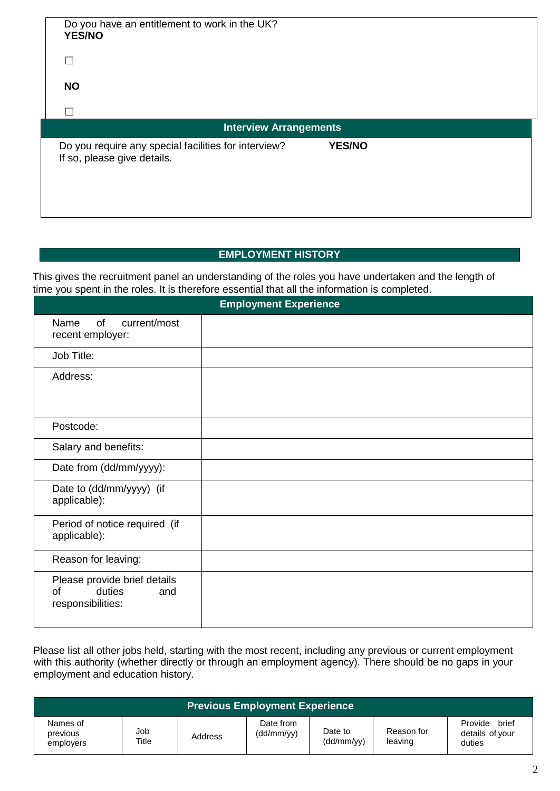| Do you have an entitlement to work in the UK?<br><b>YES/NO</b>                      |               |  |
|-------------------------------------------------------------------------------------|---------------|--|
| Г                                                                                   |               |  |
| <b>NO</b>                                                                           |               |  |
| П                                                                                   |               |  |
| <b>Interview Arrangements</b>                                                       |               |  |
| Do you require any special facilities for interview?<br>If so, please give details. | <b>YES/NO</b> |  |

## **EMPLOYMENT HISTORY**

This gives the recruitment panel an understanding of the roles you have undertaken and the length of time you spent in the roles. It is therefore essential that all the information is completed.

| <b>Employment Experience</b>                                             |  |  |
|--------------------------------------------------------------------------|--|--|
| current/most<br>Name<br>of<br>recent employer:                           |  |  |
| Job Title:                                                               |  |  |
| Address:                                                                 |  |  |
| Postcode:                                                                |  |  |
| Salary and benefits:                                                     |  |  |
| Date from (dd/mm/yyyy):                                                  |  |  |
| Date to (dd/mm/yyyy) (if<br>applicable):                                 |  |  |
| Period of notice required (if<br>applicable):                            |  |  |
| Reason for leaving:                                                      |  |  |
| Please provide brief details<br>duties<br>of<br>and<br>responsibilities: |  |  |

Please list all other jobs held, starting with the most recent, including any previous or current employment with this authority (whether directly or through an employment agency). There should be no gaps in your employment and education history.

| <b>Previous Employment Experience</b> |              |         |                         |                       |                       |                                               |
|---------------------------------------|--------------|---------|-------------------------|-----------------------|-----------------------|-----------------------------------------------|
| Names of<br>previous<br>employers     | Job<br>Title | Address | Date from<br>(dd/mm/yy) | Date to<br>(dd/mm/yy) | Reason for<br>leaving | brief<br>Provide<br>details of your<br>duties |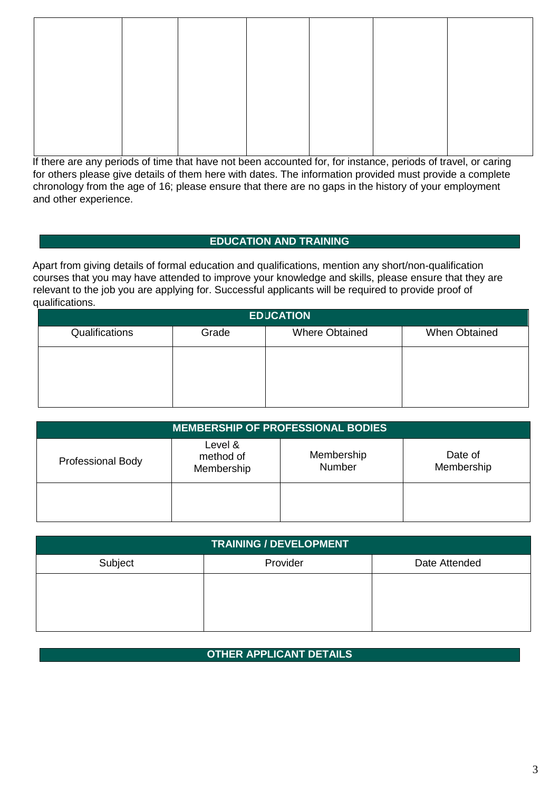If there are any periods of time that have not been accounted for, for instance, periods of travel, or caring for others please give details of them here with dates. The information provided must provide a complete chronology from the age of 16; please ensure that there are no gaps in the history of your employment and other experience.

## **EDUCATION AND TRAINING**

Apart from giving details of formal education and qualifications, mention any short/non-qualification courses that you may have attended to improve your knowledge and skills, please ensure that they are relevant to the job you are applying for. Successful applicants will be required to provide proof of qualifications.

| <b>EDUCATION</b> |       |                       |               |  |
|------------------|-------|-----------------------|---------------|--|
| Qualifications   | Grade | <b>Where Obtained</b> | When Obtained |  |
|                  |       |                       |               |  |
|                  |       |                       |               |  |
|                  |       |                       |               |  |

| <b>MEMBERSHIP OF PROFESSIONAL BODIES</b> |                                    |                      |                       |  |
|------------------------------------------|------------------------------------|----------------------|-----------------------|--|
| <b>Professional Body</b>                 | Level &<br>method of<br>Membership | Membership<br>Number | Date of<br>Membership |  |
|                                          |                                    |                      |                       |  |

| <b>TRAINING / DEVELOPMENT</b> |          |               |  |
|-------------------------------|----------|---------------|--|
| Subject                       | Provider | Date Attended |  |
|                               |          |               |  |
|                               |          |               |  |
|                               |          |               |  |

## **OTHER APPLICANT DETAILS**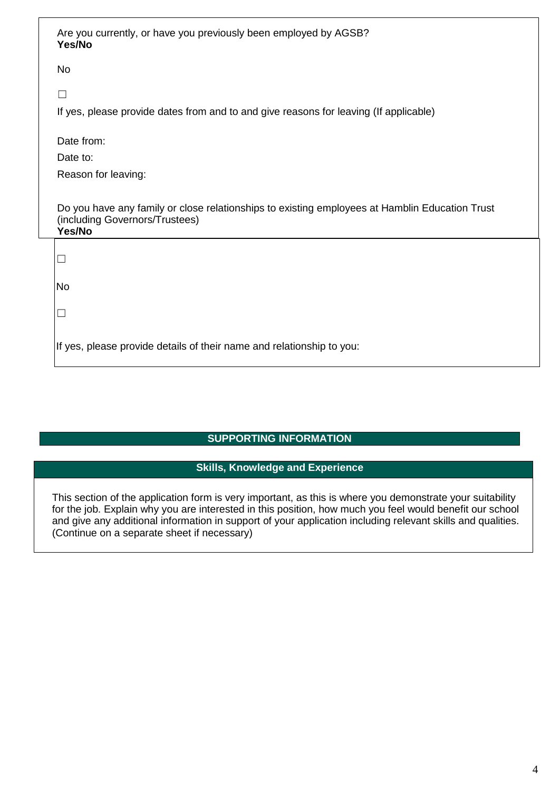| Are you currently, or have you previously been employed by AGSB?<br>Yes/No                                                                 |
|--------------------------------------------------------------------------------------------------------------------------------------------|
| <b>No</b>                                                                                                                                  |
|                                                                                                                                            |
| If yes, please provide dates from and to and give reasons for leaving (If applicable)                                                      |
| Date from:                                                                                                                                 |
| Date to:                                                                                                                                   |
| Reason for leaving:                                                                                                                        |
| Do you have any family or close relationships to existing employees at Hamblin Education Trust<br>(including Governors/Trustees)<br>Yes/No |
|                                                                                                                                            |
| <b>No</b>                                                                                                                                  |
|                                                                                                                                            |
| If yes, please provide details of their name and relationship to you:                                                                      |

# **SUPPORTING INFORMATION**

# **Skills, Knowledge and Experience**

This section of the application form is very important, as this is where you demonstrate your suitability for the job. Explain why you are interested in this position, how much you feel would benefit our school and give any additional information in support of your application including relevant skills and qualities. (Continue on a separate sheet if necessary)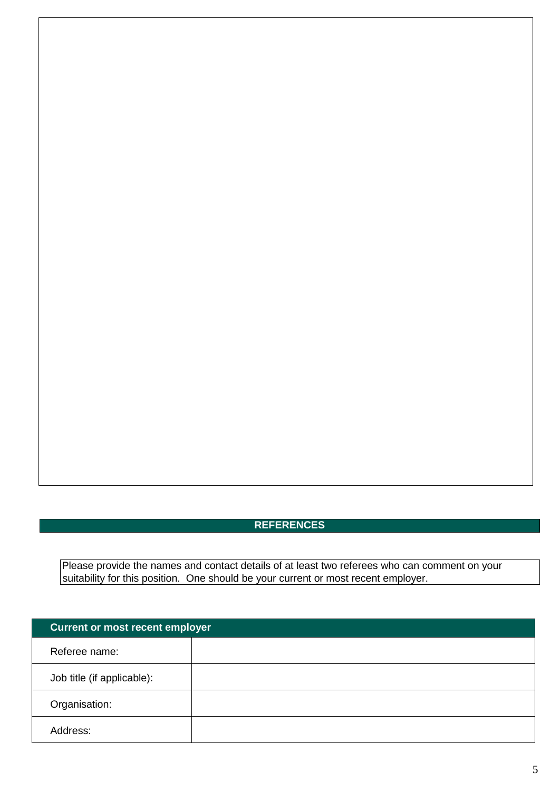# **REFERENCES**

Please provide the names and contact details of at least two referees who can comment on your suitability for this position. One should be your current or most recent employer.

| <b>Current or most recent employer</b> |  |
|----------------------------------------|--|
| Referee name:                          |  |
| Job title (if applicable):             |  |
| Organisation:                          |  |
| Address:                               |  |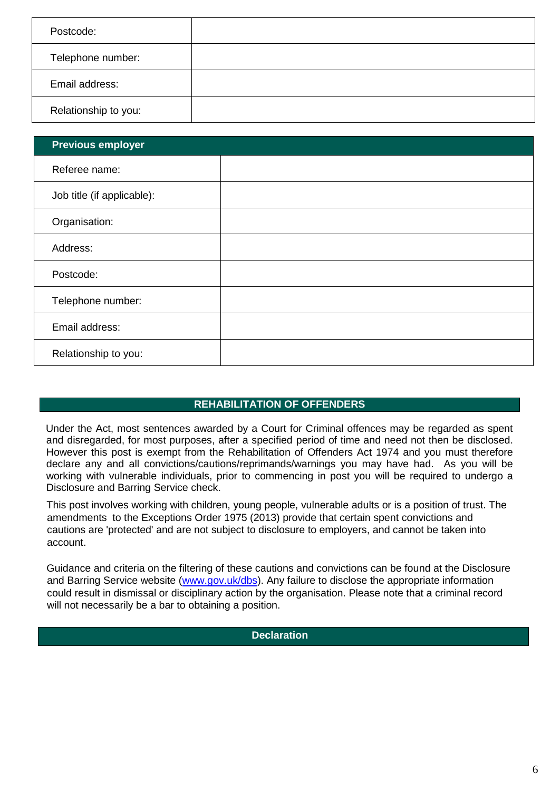| Postcode:            |  |
|----------------------|--|
|                      |  |
| Telephone number:    |  |
| Email address:       |  |
|                      |  |
| Relationship to you: |  |
|                      |  |

| <b>Previous employer</b>   |  |
|----------------------------|--|
| Referee name:              |  |
| Job title (if applicable): |  |
| Organisation:              |  |
| Address:                   |  |
| Postcode:                  |  |
| Telephone number:          |  |
| Email address:             |  |
| Relationship to you:       |  |

## **REHABILITATION OF OFFENDERS**

Under the Act, most sentences awarded by a Court for Criminal offences may be regarded as spent and disregarded, for most purposes, after a specified period of time and need not then be disclosed. However this post is exempt from the Rehabilitation of Offenders Act 1974 and you must therefore declare any and all convictions/cautions/reprimands/warnings you may have had. As you will be working with vulnerable individuals, prior to commencing in post you will be required to undergo a Disclosure and Barring Service check.

This post involves working with children, young people, vulnerable adults or is a position of trust. The amendments to the Exceptions Order 1975 (2013) provide that certain spent convictions and cautions are 'protected' and are not subject to disclosure to employers, and cannot be taken into account.

Guidance and criteria on the filtering of these cautions and convictions can be found at the Disclosure and Barring Service website [\(www.gov.uk/dbs\).](http://www.gov.uk/dbs) Any failure to disclose the appropriate information could result in dismissal or disciplinary action by the organisation. Please note that a criminal record will not necessarily be a bar to obtaining a position.

#### **Declaration**